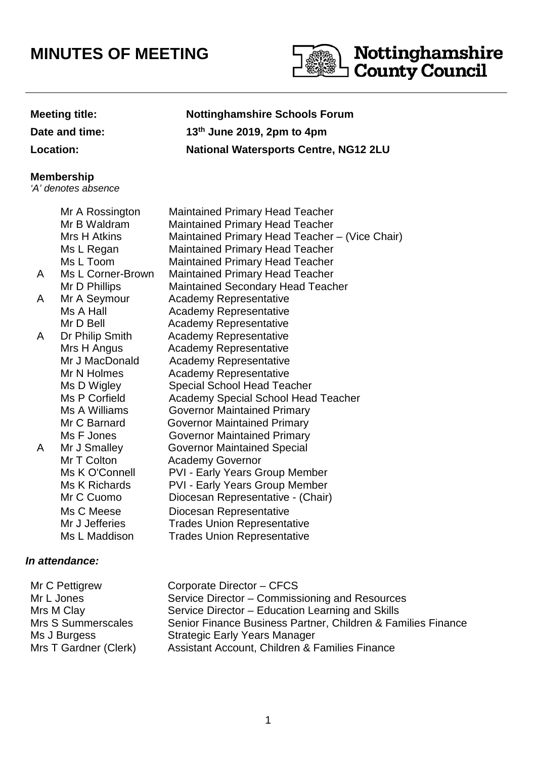# **MINUTES OF MEETING**



**Date and time: 13**

## **Meeting title: Nottinghamshire Schools Forum th June 2019, 2pm to 4pm Location: National Watersports Centre, NG12 2LU**

### **Membership**

'A' denotes absence

|   | Mr A Rossington   | <b>Maintained Primary Head Teacher</b>         |
|---|-------------------|------------------------------------------------|
|   | Mr B Waldram      | <b>Maintained Primary Head Teacher</b>         |
|   | Mrs H Atkins      | Maintained Primary Head Teacher - (Vice Chair) |
|   | Ms L Regan        | <b>Maintained Primary Head Teacher</b>         |
|   | Ms L Toom         | <b>Maintained Primary Head Teacher</b>         |
| A | Ms L Corner-Brown | <b>Maintained Primary Head Teacher</b>         |
|   | Mr D Phillips     | <b>Maintained Secondary Head Teacher</b>       |
| A | Mr A Seymour      | <b>Academy Representative</b>                  |
|   | Ms A Hall         | <b>Academy Representative</b>                  |
|   | Mr D Bell         | <b>Academy Representative</b>                  |
| A | Dr Philip Smith   | <b>Academy Representative</b>                  |
|   | Mrs H Angus       | <b>Academy Representative</b>                  |
|   | Mr J MacDonald    | <b>Academy Representative</b>                  |
|   | Mr N Holmes       | <b>Academy Representative</b>                  |
|   | Ms D Wigley       | <b>Special School Head Teacher</b>             |
|   | Ms P Corfield     | <b>Academy Special School Head Teacher</b>     |
|   | Ms A Williams     | <b>Governor Maintained Primary</b>             |
|   | Mr C Barnard      | <b>Governor Maintained Primary</b>             |
|   | Ms F Jones        | <b>Governor Maintained Primary</b>             |
| A | Mr J Smalley      | <b>Governor Maintained Special</b>             |
|   | Mr T Colton       | <b>Academy Governor</b>                        |
|   | Ms K O'Connell    | <b>PVI - Early Years Group Member</b>          |
|   | Ms K Richards     | <b>PVI - Early Years Group Member</b>          |
|   | Mr C Cuomo        | Diocesan Representative - (Chair)              |
|   | Ms C Meese        | Diocesan Representative                        |
|   | Mr J Jefferies    | <b>Trades Union Representative</b>             |
|   | Ms L Maddison     | <b>Trades Union Representative</b>             |
|   |                   |                                                |

## **In attendance:**

| Mr C Pettigrew        | Corporate Director - CFCS                                    |
|-----------------------|--------------------------------------------------------------|
| Mr L Jones            | Service Director - Commissioning and Resources               |
| Mrs M Clay            | Service Director – Education Learning and Skills             |
| Mrs S Summerscales    | Senior Finance Business Partner, Children & Families Finance |
| Ms J Burgess          | <b>Strategic Early Years Manager</b>                         |
| Mrs T Gardner (Clerk) | Assistant Account, Children & Families Finance               |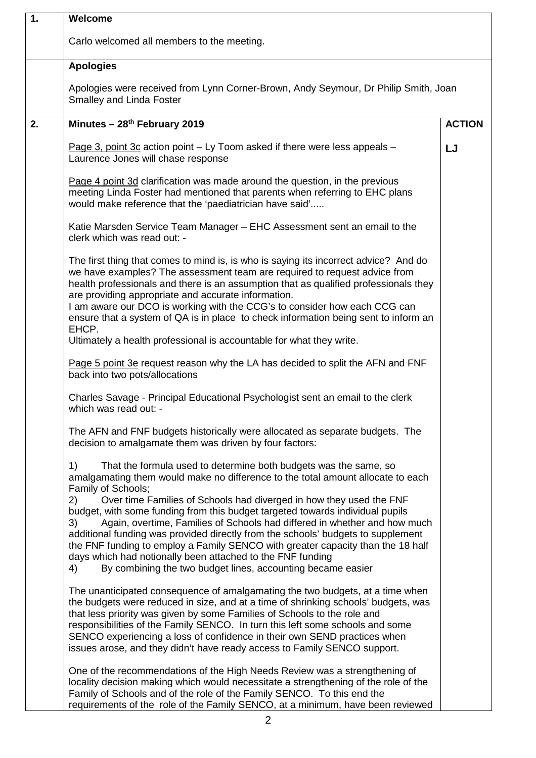| 1. | Welcome                                                                                                                                                                                                                                                                                                                                                                                                                                                                                                                                                                                                                                                                                                                                    |               |  |
|----|--------------------------------------------------------------------------------------------------------------------------------------------------------------------------------------------------------------------------------------------------------------------------------------------------------------------------------------------------------------------------------------------------------------------------------------------------------------------------------------------------------------------------------------------------------------------------------------------------------------------------------------------------------------------------------------------------------------------------------------------|---------------|--|
|    | Carlo welcomed all members to the meeting.                                                                                                                                                                                                                                                                                                                                                                                                                                                                                                                                                                                                                                                                                                 |               |  |
|    | <b>Apologies</b>                                                                                                                                                                                                                                                                                                                                                                                                                                                                                                                                                                                                                                                                                                                           |               |  |
|    | Apologies were received from Lynn Corner-Brown, Andy Seymour, Dr Philip Smith, Joan<br><b>Smalley and Linda Foster</b>                                                                                                                                                                                                                                                                                                                                                                                                                                                                                                                                                                                                                     |               |  |
| 2. | Minutes - 28 <sup>th</sup> February 2019                                                                                                                                                                                                                                                                                                                                                                                                                                                                                                                                                                                                                                                                                                   | <b>ACTION</b> |  |
|    | Page 3, point 3c action point - Ly Toom asked if there were less appeals -<br>Laurence Jones will chase response                                                                                                                                                                                                                                                                                                                                                                                                                                                                                                                                                                                                                           | LJ            |  |
|    | Page 4 point 3d clarification was made around the question, in the previous<br>meeting Linda Foster had mentioned that parents when referring to EHC plans<br>would make reference that the 'paediatrician have said'                                                                                                                                                                                                                                                                                                                                                                                                                                                                                                                      |               |  |
|    | Katie Marsden Service Team Manager - EHC Assessment sent an email to the<br>clerk which was read out: -                                                                                                                                                                                                                                                                                                                                                                                                                                                                                                                                                                                                                                    |               |  |
|    | The first thing that comes to mind is, is who is saying its incorrect advice? And do<br>we have examples? The assessment team are required to request advice from<br>health professionals and there is an assumption that as qualified professionals they<br>are providing appropriate and accurate information.<br>I am aware our DCO is working with the CCG's to consider how each CCG can<br>ensure that a system of QA is in place to check information being sent to inform an<br>EHCP.                                                                                                                                                                                                                                              |               |  |
|    | Ultimately a health professional is accountable for what they write.                                                                                                                                                                                                                                                                                                                                                                                                                                                                                                                                                                                                                                                                       |               |  |
|    | Page 5 point 3e request reason why the LA has decided to split the AFN and FNF<br>back into two pots/allocations                                                                                                                                                                                                                                                                                                                                                                                                                                                                                                                                                                                                                           |               |  |
|    | Charles Savage - Principal Educational Psychologist sent an email to the clerk<br>which was read out: -                                                                                                                                                                                                                                                                                                                                                                                                                                                                                                                                                                                                                                    |               |  |
|    | The AFN and FNF budgets historically were allocated as separate budgets. The<br>decision to amalgamate them was driven by four factors:                                                                                                                                                                                                                                                                                                                                                                                                                                                                                                                                                                                                    |               |  |
|    | 1)<br>That the formula used to determine both budgets was the same, so<br>amalgamating them would make no difference to the total amount allocate to each<br>Family of Schools;<br>Over time Families of Schools had diverged in how they used the FNF<br>2)<br>budget, with some funding from this budget targeted towards individual pupils<br>Again, overtime, Families of Schools had differed in whether and how much<br>3)<br>additional funding was provided directly from the schools' budgets to supplement<br>the FNF funding to employ a Family SENCO with greater capacity than the 18 half<br>days which had notionally been attached to the FNF funding<br>By combining the two budget lines, accounting became easier<br>4) |               |  |
|    | The unanticipated consequence of amalgamating the two budgets, at a time when<br>the budgets were reduced in size, and at a time of shrinking schools' budgets, was<br>that less priority was given by some Families of Schools to the role and<br>responsibilities of the Family SENCO. In turn this left some schools and some<br>SENCO experiencing a loss of confidence in their own SEND practices when<br>issues arose, and they didn't have ready access to Family SENCO support.                                                                                                                                                                                                                                                   |               |  |
|    | One of the recommendations of the High Needs Review was a strengthening of<br>locality decision making which would necessitate a strengthening of the role of the<br>Family of Schools and of the role of the Family SENCO. To this end the<br>requirements of the role of the Family SENCO, at a minimum, have been reviewed                                                                                                                                                                                                                                                                                                                                                                                                              |               |  |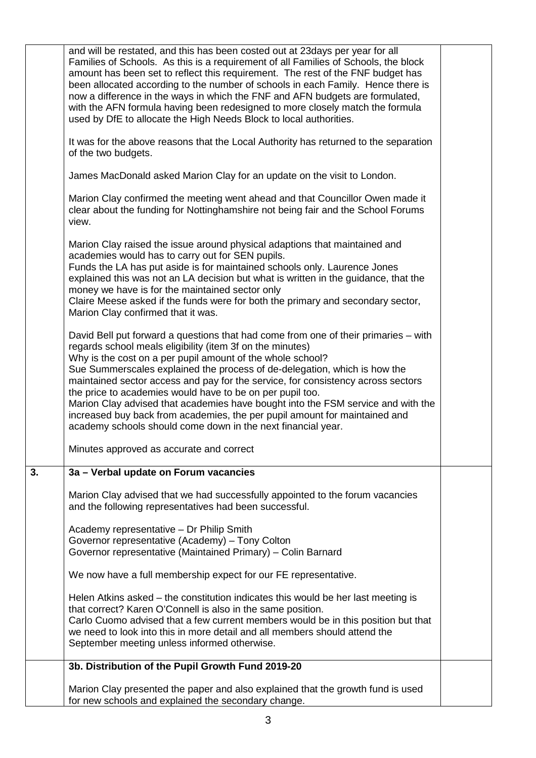|    | and will be restated, and this has been costed out at 23days per year for all<br>Families of Schools. As this is a requirement of all Families of Schools, the block<br>amount has been set to reflect this requirement. The rest of the FNF budget has<br>been allocated according to the number of schools in each Family. Hence there is<br>now a difference in the ways in which the FNF and AFN budgets are formulated,<br>with the AFN formula having been redesigned to more closely match the formula<br>used by DfE to allocate the High Needs Block to local authorities.                                                                                            |  |
|----|--------------------------------------------------------------------------------------------------------------------------------------------------------------------------------------------------------------------------------------------------------------------------------------------------------------------------------------------------------------------------------------------------------------------------------------------------------------------------------------------------------------------------------------------------------------------------------------------------------------------------------------------------------------------------------|--|
|    | It was for the above reasons that the Local Authority has returned to the separation<br>of the two budgets.                                                                                                                                                                                                                                                                                                                                                                                                                                                                                                                                                                    |  |
|    | James MacDonald asked Marion Clay for an update on the visit to London.                                                                                                                                                                                                                                                                                                                                                                                                                                                                                                                                                                                                        |  |
|    | Marion Clay confirmed the meeting went ahead and that Councillor Owen made it<br>clear about the funding for Nottinghamshire not being fair and the School Forums<br>view.                                                                                                                                                                                                                                                                                                                                                                                                                                                                                                     |  |
|    | Marion Clay raised the issue around physical adaptions that maintained and<br>academies would has to carry out for SEN pupils.<br>Funds the LA has put aside is for maintained schools only. Laurence Jones<br>explained this was not an LA decision but what is written in the guidance, that the<br>money we have is for the maintained sector only<br>Claire Meese asked if the funds were for both the primary and secondary sector,<br>Marion Clay confirmed that it was.                                                                                                                                                                                                 |  |
|    | David Bell put forward a questions that had come from one of their primaries – with<br>regards school meals eligibility (item 3f on the minutes)<br>Why is the cost on a per pupil amount of the whole school?<br>Sue Summerscales explained the process of de-delegation, which is how the<br>maintained sector access and pay for the service, for consistency across sectors<br>the price to academies would have to be on per pupil too.<br>Marion Clay advised that academies have bought into the FSM service and with the<br>increased buy back from academies, the per pupil amount for maintained and<br>academy schools should come down in the next financial year. |  |
|    | Minutes approved as accurate and correct                                                                                                                                                                                                                                                                                                                                                                                                                                                                                                                                                                                                                                       |  |
| 3. | 3a - Verbal update on Forum vacancies                                                                                                                                                                                                                                                                                                                                                                                                                                                                                                                                                                                                                                          |  |
|    | Marion Clay advised that we had successfully appointed to the forum vacancies<br>and the following representatives had been successful.                                                                                                                                                                                                                                                                                                                                                                                                                                                                                                                                        |  |
|    | Academy representative - Dr Philip Smith<br>Governor representative (Academy) - Tony Colton<br>Governor representative (Maintained Primary) - Colin Barnard                                                                                                                                                                                                                                                                                                                                                                                                                                                                                                                    |  |
|    | We now have a full membership expect for our FE representative.                                                                                                                                                                                                                                                                                                                                                                                                                                                                                                                                                                                                                |  |
|    | Helen Atkins asked - the constitution indicates this would be her last meeting is<br>that correct? Karen O'Connell is also in the same position.<br>Carlo Cuomo advised that a few current members would be in this position but that<br>we need to look into this in more detail and all members should attend the<br>September meeting unless informed otherwise.                                                                                                                                                                                                                                                                                                            |  |
|    | 3b. Distribution of the Pupil Growth Fund 2019-20                                                                                                                                                                                                                                                                                                                                                                                                                                                                                                                                                                                                                              |  |
|    | Marion Clay presented the paper and also explained that the growth fund is used<br>for new schools and explained the secondary change.                                                                                                                                                                                                                                                                                                                                                                                                                                                                                                                                         |  |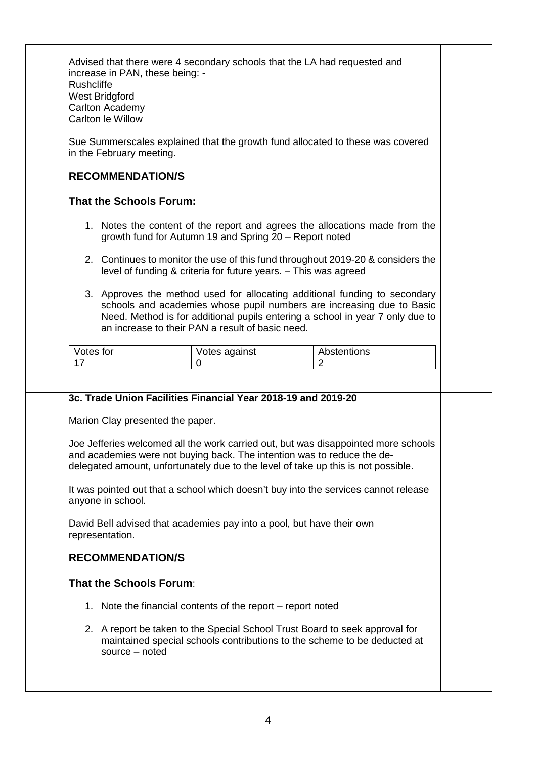| increase in PAN, these being: -<br>Rushcliffe<br>West Bridgford<br>Carlton Academy<br>Carlton le Willow                                                                                                                                                                                  |                                                                                                                                                                                                                   | Advised that there were 4 secondary schools that the LA had requested and                                                                                                                                                                                      |
|------------------------------------------------------------------------------------------------------------------------------------------------------------------------------------------------------------------------------------------------------------------------------------------|-------------------------------------------------------------------------------------------------------------------------------------------------------------------------------------------------------------------|----------------------------------------------------------------------------------------------------------------------------------------------------------------------------------------------------------------------------------------------------------------|
| in the February meeting.                                                                                                                                                                                                                                                                 |                                                                                                                                                                                                                   | Sue Summerscales explained that the growth fund allocated to these was covered                                                                                                                                                                                 |
| <b>RECOMMENDATION/S</b>                                                                                                                                                                                                                                                                  |                                                                                                                                                                                                                   |                                                                                                                                                                                                                                                                |
| <b>That the Schools Forum:</b>                                                                                                                                                                                                                                                           |                                                                                                                                                                                                                   |                                                                                                                                                                                                                                                                |
| 1. Notes the content of the report and agrees the allocations made from the<br>growth fund for Autumn 19 and Spring 20 - Report noted                                                                                                                                                    |                                                                                                                                                                                                                   |                                                                                                                                                                                                                                                                |
| 2. Continues to monitor the use of this fund throughout 2019-20 & considers the<br>level of funding & criteria for future years. - This was agreed                                                                                                                                       |                                                                                                                                                                                                                   |                                                                                                                                                                                                                                                                |
| 3. Approves the method used for allocating additional funding to secondary<br>schools and academies whose pupil numbers are increasing due to Basic<br>Need. Method is for additional pupils entering a school in year 7 only due to<br>an increase to their PAN a result of basic need. |                                                                                                                                                                                                                   |                                                                                                                                                                                                                                                                |
| Votes for                                                                                                                                                                                                                                                                                | Votes against                                                                                                                                                                                                     | Abstentions                                                                                                                                                                                                                                                    |
| 17                                                                                                                                                                                                                                                                                       | $\Omega$                                                                                                                                                                                                          | $\overline{2}$                                                                                                                                                                                                                                                 |
| Marion Clay presented the paper.<br>anyone in school.<br>representation.<br><b>RECOMMENDATION/S</b>                                                                                                                                                                                      | 3c. Trade Union Facilities Financial Year 2018-19 and 2019-20<br>and academies were not buying back. The intention was to reduce the de-<br>David Bell advised that academies pay into a pool, but have their own | Joe Jefferies welcomed all the work carried out, but was disappointed more schools<br>delegated amount, unfortunately due to the level of take up this is not possible.<br>It was pointed out that a school which doesn't buy into the services cannot release |
|                                                                                                                                                                                                                                                                                          |                                                                                                                                                                                                                   |                                                                                                                                                                                                                                                                |
| <b>That the Schools Forum:</b>                                                                                                                                                                                                                                                           |                                                                                                                                                                                                                   |                                                                                                                                                                                                                                                                |
|                                                                                                                                                                                                                                                                                          | 1. Note the financial contents of the report – report noted                                                                                                                                                       |                                                                                                                                                                                                                                                                |
| source - noted                                                                                                                                                                                                                                                                           | 2. A report be taken to the Special School Trust Board to seek approval for                                                                                                                                       |                                                                                                                                                                                                                                                                |
|                                                                                                                                                                                                                                                                                          |                                                                                                                                                                                                                   | maintained special schools contributions to the scheme to be deducted at                                                                                                                                                                                       |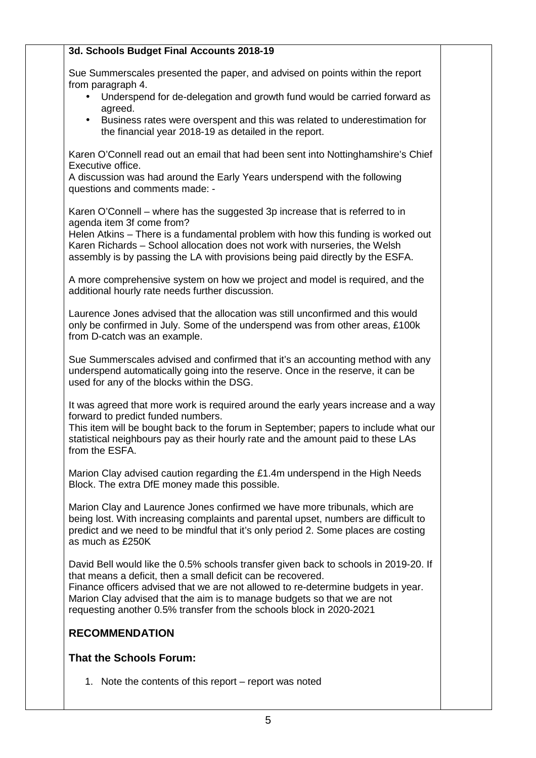| 3d. Schools Budget Final Accounts 2018-19                                                                                                                                                                                                                                                                                                                                                     |  |
|-----------------------------------------------------------------------------------------------------------------------------------------------------------------------------------------------------------------------------------------------------------------------------------------------------------------------------------------------------------------------------------------------|--|
| Sue Summerscales presented the paper, and advised on points within the report<br>from paragraph 4.                                                                                                                                                                                                                                                                                            |  |
| Underspend for de-delegation and growth fund would be carried forward as<br>$\bullet$<br>agreed.                                                                                                                                                                                                                                                                                              |  |
| Business rates were overspent and this was related to underestimation for<br>$\bullet$<br>the financial year 2018-19 as detailed in the report.                                                                                                                                                                                                                                               |  |
| Karen O'Connell read out an email that had been sent into Nottinghamshire's Chief<br>Executive office.                                                                                                                                                                                                                                                                                        |  |
| A discussion was had around the Early Years underspend with the following<br>questions and comments made: -                                                                                                                                                                                                                                                                                   |  |
| Karen O'Connell – where has the suggested 3p increase that is referred to in<br>agenda item 3f come from?                                                                                                                                                                                                                                                                                     |  |
| Helen Atkins - There is a fundamental problem with how this funding is worked out<br>Karen Richards - School allocation does not work with nurseries, the Welsh<br>assembly is by passing the LA with provisions being paid directly by the ESFA.                                                                                                                                             |  |
| A more comprehensive system on how we project and model is required, and the<br>additional hourly rate needs further discussion.                                                                                                                                                                                                                                                              |  |
| Laurence Jones advised that the allocation was still unconfirmed and this would<br>only be confirmed in July. Some of the underspend was from other areas, £100k<br>from D-catch was an example.                                                                                                                                                                                              |  |
| Sue Summerscales advised and confirmed that it's an accounting method with any<br>underspend automatically going into the reserve. Once in the reserve, it can be<br>used for any of the blocks within the DSG.                                                                                                                                                                               |  |
| It was agreed that more work is required around the early years increase and a way<br>forward to predict funded numbers.<br>This item will be bought back to the forum in September; papers to include what our<br>statistical neighbours pay as their hourly rate and the amount paid to these LAs<br>from the ESFA.                                                                         |  |
| Marion Clay advised caution regarding the £1.4m underspend in the High Needs<br>Block. The extra DfE money made this possible.                                                                                                                                                                                                                                                                |  |
| Marion Clay and Laurence Jones confirmed we have more tribunals, which are<br>being lost. With increasing complaints and parental upset, numbers are difficult to<br>predict and we need to be mindful that it's only period 2. Some places are costing<br>as much as £250K                                                                                                                   |  |
| David Bell would like the 0.5% schools transfer given back to schools in 2019-20. If<br>that means a deficit, then a small deficit can be recovered.<br>Finance officers advised that we are not allowed to re-determine budgets in year.<br>Marion Clay advised that the aim is to manage budgets so that we are not<br>requesting another 0.5% transfer from the schools block in 2020-2021 |  |
| <b>RECOMMENDATION</b>                                                                                                                                                                                                                                                                                                                                                                         |  |
| <b>That the Schools Forum:</b>                                                                                                                                                                                                                                                                                                                                                                |  |
| 1. Note the contents of this report – report was noted                                                                                                                                                                                                                                                                                                                                        |  |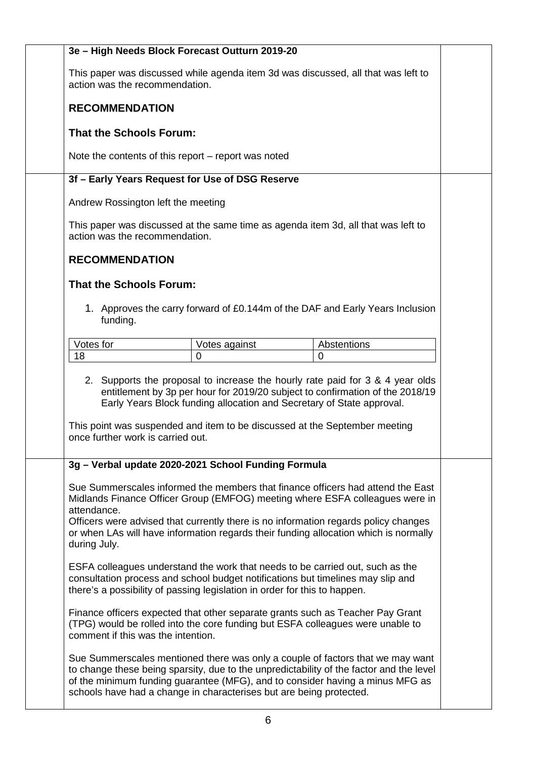| 3e - High Needs Block Forecast Outturn 2019-20                                                                      |                                                                                                                                                                             |                                                                                                                                                                           |  |
|---------------------------------------------------------------------------------------------------------------------|-----------------------------------------------------------------------------------------------------------------------------------------------------------------------------|---------------------------------------------------------------------------------------------------------------------------------------------------------------------------|--|
| This paper was discussed while agenda item 3d was discussed, all that was left to<br>action was the recommendation. |                                                                                                                                                                             |                                                                                                                                                                           |  |
| <b>RECOMMENDATION</b>                                                                                               |                                                                                                                                                                             |                                                                                                                                                                           |  |
| <b>That the Schools Forum:</b>                                                                                      |                                                                                                                                                                             |                                                                                                                                                                           |  |
| Note the contents of this report $-$ report was noted                                                               |                                                                                                                                                                             |                                                                                                                                                                           |  |
| 3f - Early Years Request for Use of DSG Reserve                                                                     |                                                                                                                                                                             |                                                                                                                                                                           |  |
| Andrew Rossington left the meeting                                                                                  |                                                                                                                                                                             |                                                                                                                                                                           |  |
| This paper was discussed at the same time as agenda item 3d, all that was left to<br>action was the recommendation. |                                                                                                                                                                             |                                                                                                                                                                           |  |
| <b>RECOMMENDATION</b>                                                                                               |                                                                                                                                                                             |                                                                                                                                                                           |  |
| <b>That the Schools Forum:</b>                                                                                      |                                                                                                                                                                             |                                                                                                                                                                           |  |
| funding.                                                                                                            |                                                                                                                                                                             | 1. Approves the carry forward of £0.144m of the DAF and Early Years Inclusion                                                                                             |  |
| Votes for                                                                                                           | Votes against                                                                                                                                                               | Abstentions                                                                                                                                                               |  |
| 18                                                                                                                  | 0                                                                                                                                                                           | 0                                                                                                                                                                         |  |
| once further work is carried out.                                                                                   | Early Years Block funding allocation and Secretary of State approval.<br>This point was suspended and item to be discussed at the September meeting                         | 2. Supports the proposal to increase the hourly rate paid for 3 & 4 year olds<br>entitlement by 3p per hour for 2019/20 subject to confirmation of the 2018/19            |  |
| 3g - Verbal update 2020-2021 School Funding Formula                                                                 |                                                                                                                                                                             |                                                                                                                                                                           |  |
| attendance.<br>during July.                                                                                         | Officers were advised that currently there is no information regards policy changes<br>or when LAs will have information regards their funding allocation which is normally | Sue Summerscales informed the members that finance officers had attend the East<br>Midlands Finance Officer Group (EMFOG) meeting where ESFA colleagues were in           |  |
| there's a possibility of passing legislation in order for this to happen.                                           | ESFA colleagues understand the work that needs to be carried out, such as the<br>consultation process and school budget notifications but timelines may slip and            |                                                                                                                                                                           |  |
| comment if this was the intention.                                                                                  | Finance officers expected that other separate grants such as Teacher Pay Grant<br>(TPG) would be rolled into the core funding but ESFA colleagues were unable to            |                                                                                                                                                                           |  |
|                                                                                                                     | of the minimum funding guarantee (MFG), and to consider having a minus MFG as<br>schools have had a change in characterises but are being protected.                        | Sue Summerscales mentioned there was only a couple of factors that we may want<br>to change these being sparsity, due to the unpredictability of the factor and the level |  |